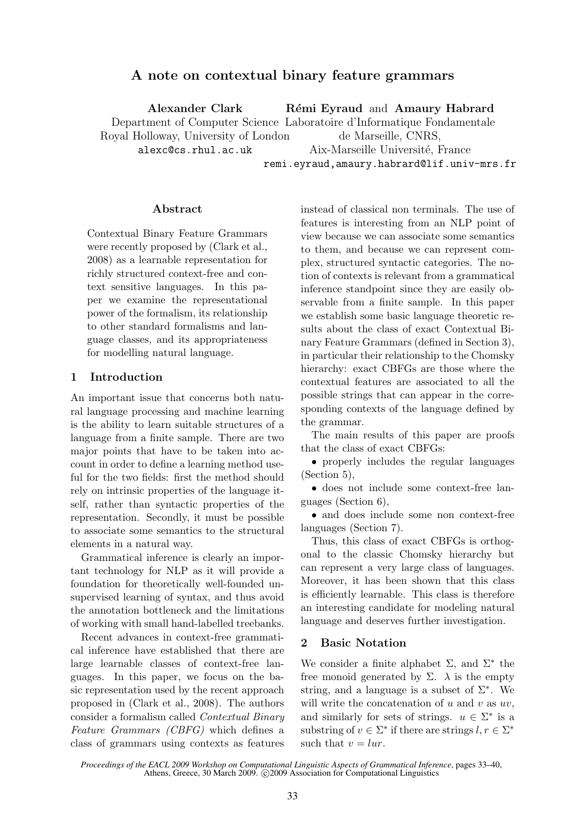# A note on contextual binary feature grammars

Alexander Clark Department of Computer Science Laboratoire d'Informatique Fondamentale Royal Holloway, University of London alexc@cs.rhul.ac.uk Rémi Eyraud and Amaury Habrard de Marseille, CNRS, Aix-Marseille Université, France

remi.eyraud,amaury.habrard@lif.univ-mrs.fr

### Abstract

Contextual Binary Feature Grammars were recently proposed by (Clark et al., 2008) as a learnable representation for richly structured context-free and context sensitive languages. In this paper we examine the representational power of the formalism, its relationship to other standard formalisms and language classes, and its appropriateness for modelling natural language.

### 1 Introduction

An important issue that concerns both natural language processing and machine learning is the ability to learn suitable structures of a language from a finite sample. There are two major points that have to be taken into account in order to define a learning method useful for the two fields: first the method should rely on intrinsic properties of the language itself, rather than syntactic properties of the representation. Secondly, it must be possible to associate some semantics to the structural elements in a natural way.

Grammatical inference is clearly an important technology for NLP as it will provide a foundation for theoretically well-founded unsupervised learning of syntax, and thus avoid the annotation bottleneck and the limitations of working with small hand-labelled treebanks.

Recent advances in context-free grammatical inference have established that there are large learnable classes of context-free languages. In this paper, we focus on the basic representation used by the recent approach proposed in (Clark et al., 2008). The authors consider a formalism called Contextual Binary Feature Grammars (CBFG) which defines a class of grammars using contexts as features

instead of classical non terminals. The use of features is interesting from an NLP point of view because we can associate some semantics to them, and because we can represent complex, structured syntactic categories. The notion of contexts is relevant from a grammatical inference standpoint since they are easily observable from a finite sample. In this paper we establish some basic language theoretic results about the class of exact Contextual Binary Feature Grammars (defined in Section 3), in particular their relationship to the Chomsky hierarchy: exact CBFGs are those where the contextual features are associated to all the possible strings that can appear in the corresponding contexts of the language defined by the grammar.

The main results of this paper are proofs that the class of exact CBFGs:

• properly includes the regular languages (Section 5),

• does not include some context-free languages (Section 6),

• and does include some non context-free languages (Section 7).

Thus, this class of exact CBFGs is orthogonal to the classic Chomsky hierarchy but can represent a very large class of languages. Moreover, it has been shown that this class is efficiently learnable. This class is therefore an interesting candidate for modeling natural language and deserves further investigation.

### 2 Basic Notation

We consider a finite alphabet  $\Sigma$ , and  $\Sigma^*$  the free monoid generated by  $\Sigma$ .  $\lambda$  is the empty string, and a language is a subset of  $\Sigma^*$ . We will write the concatenation of  $u$  and  $v$  as  $uv$ , and similarly for sets of strings.  $u \in \Sigma^*$  is a substring of  $v \in \Sigma^*$  if there are strings  $l, r \in \Sigma^*$ such that  $v = lur$ .

*Proceedings of the EACL 2009 Workshop on Computational Linguistic Aspects of Grammatical Inference*, pages 33–40, Athens, Greece, 30 March 2009. ©2009 Association for Computational Linguistics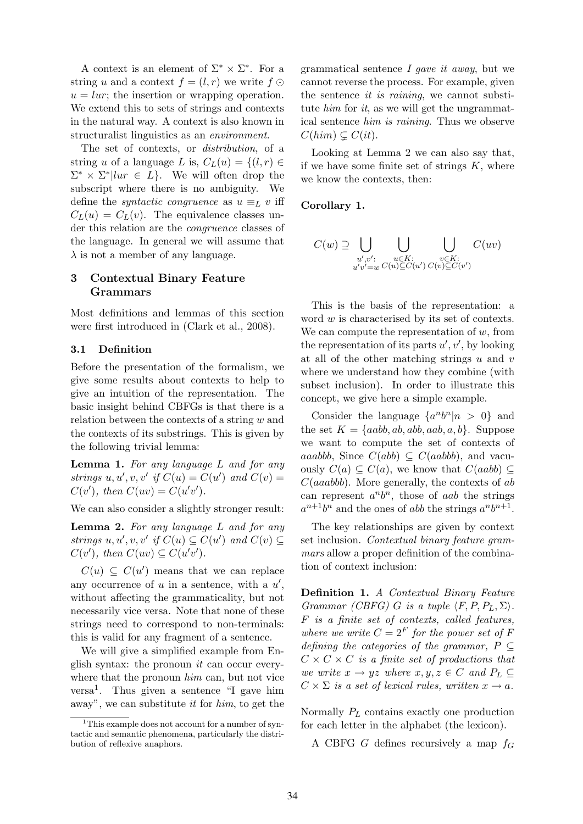A context is an element of  $\Sigma^* \times \Sigma^*$ . For a string u and a context  $f = (l, r)$  we write  $f \odot$  $u = lur$ ; the insertion or wrapping operation. We extend this to sets of strings and contexts in the natural way. A context is also known in structuralist linguistics as an environment.

The set of contexts, or distribution, of a string u of a language L is,  $C_L(u) = \{(l, r) \in$  $\Sigma^* \times \Sigma^*$  |lur  $\in L$  }. We will often drop the subscript where there is no ambiguity. We define the *syntactic congruence* as  $u \equiv_L v$  iff  $C_L(u) = C_L(v)$ . The equivalence classes under this relation are the congruence classes of the language. In general we will assume that  $\lambda$  is not a member of any language.

## 3 Contextual Binary Feature Grammars

Most definitions and lemmas of this section were first introduced in (Clark et al., 2008).

### 3.1 Definition

Before the presentation of the formalism, we give some results about contexts to help to give an intuition of the representation. The basic insight behind CBFGs is that there is a relation between the contexts of a string w and the contexts of its substrings. This is given by the following trivial lemma:

Lemma 1. For any language L and for any strings  $u, u', v, v'$  if  $C(u) = C(u')$  and  $C(v) =$  $C(v')$ , then  $C(uv) = C(u'v')$ .

We can also consider a slightly stronger result:

Lemma 2. For any language L and for any strings  $u, u', v, v'$  if  $C(u) \subseteq C(u')$  and  $C(v) \subseteq$  $C(v')$ , then  $C(uv) \subseteq C(u'v')$ .

 $C(u) \subseteq C(u')$  means that we can replace any occurrence of  $u$  in a sentence, with a  $u'$ , without affecting the grammaticality, but not necessarily vice versa. Note that none of these strings need to correspond to non-terminals: this is valid for any fragment of a sentence.

We will give a simplified example from English syntax: the pronoun it can occur everywhere that the pronoun *him* can, but not vice versa<sup>1</sup> . Thus given a sentence "I gave him away", we can substitute it for him, to get the grammatical sentence  $I$  *qave it away*, but we cannot reverse the process. For example, given the sentence it is raining, we cannot substitute  $him$  for  $it$ , as we will get the ungrammatical sentence him is raining. Thus we observe  $C(him) \subseteq C(it)$ .

Looking at Lemma 2 we can also say that, if we have some finite set of strings  $K$ , where we know the contexts, then:

#### Corollary 1.

$$
C(w) \supseteq \bigcup_{\substack{u',v':\\u'v' = w}} \bigcup_{\substack{u \in K:\\C(u) \subseteq C(u')} \subset C(v) \subseteq C(v')} C(uv)
$$

This is the basis of the representation: a word w is characterised by its set of contexts. We can compute the representation of  $w$ , from the representation of its parts  $u', v'$ , by looking at all of the other matching strings  $u$  and  $v$ where we understand how they combine (with subset inclusion). In order to illustrate this concept, we give here a simple example.

Consider the language  $\{a^n b^n | n > 0\}$  and the set  $K = \{aabb, ab, abb, aab, a, b\}$ . Suppose we want to compute the set of contexts of aaabbb, Since  $C(abb) \subseteq C(aabbb)$ , and vacuously  $C(a) \subseteq C(a)$ , we know that  $C(aabb) \subseteq C(a)$  $C(aaabbb)$ . More generally, the contexts of ab can represent  $a^n b^n$ , those of aab the strings  $a^{n+1}b^n$  and the ones of abb the strings  $a^nb^{n+1}$ .

The key relationships are given by context set inclusion. Contextual binary feature grammars allow a proper definition of the combination of context inclusion:

Definition 1. A Contextual Binary Feature Grammar (CBFG) G is a tuple  $\langle F, P, P_L, \Sigma \rangle$ . F is a finite set of contexts, called features, where we write  $C = 2<sup>F</sup>$  for the power set of F defining the categories of the grammar,  $P \subseteq$  $C \times C \times C$  is a finite set of productions that we write  $x \to yz$  where  $x, y, z \in C$  and  $P_L \subset$  $C \times \Sigma$  is a set of lexical rules, written  $x \to a$ .

Normally  $P<sub>L</sub>$  contains exactly one production for each letter in the alphabet (the lexicon).

A CBFG G defines recursively a map  $f_G$ 

<sup>&</sup>lt;sup>1</sup>This example does not account for a number of syntactic and semantic phenomena, particularly the distribution of reflexive anaphors.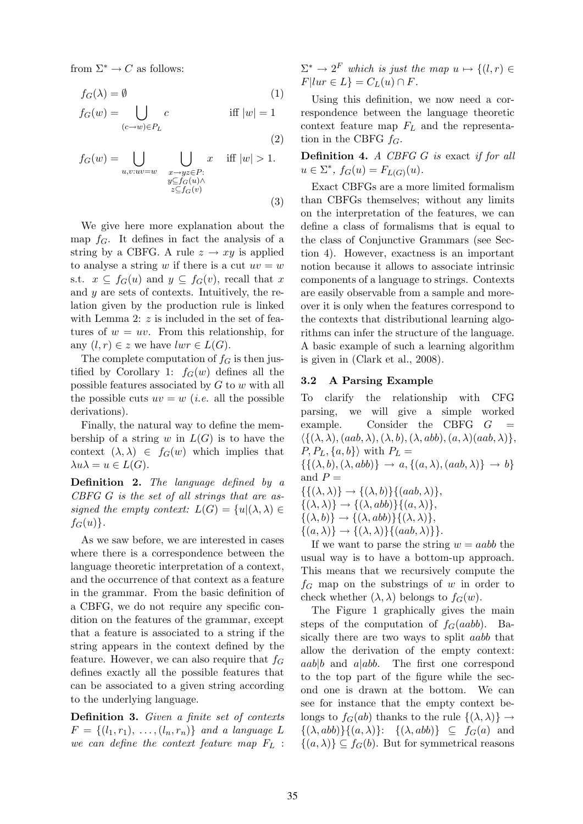from  $\Sigma^* \to C$  as follows:

$$
f_G(\lambda) = \emptyset \tag{1}
$$

$$
f_G(w) = \bigcup_{(c \to w) \in P_L} c \qquad \text{if } |w| = 1
$$

(2)

$$
f_G(w) = \bigcup_{\substack{u,v:uv=w \\ w \subseteq f_G(u) \land \atop z \subseteq f_G(v)}} \bigcup_{\substack{x \to yz \in P:\\z \subseteq f_G(v)}} x \quad \text{iff } |w| > 1. \tag{3}
$$

We give here more explanation about the map  $f_G$ . It defines in fact the analysis of a string by a CBFG. A rule  $z \rightarrow xy$  is applied to analyse a string w if there is a cut  $uv = w$ s.t.  $x \subseteq f_G(u)$  and  $y \subseteq f_G(v)$ , recall that x and y are sets of contexts. Intuitively, the relation given by the production rule is linked with Lemma 2: z is included in the set of features of  $w = uv$ . From this relationship, for any  $(l, r) \in z$  we have  $lwr \in L(G)$ .

The complete computation of  $f<sub>G</sub>$  is then justified by Corollary 1:  $f_G(w)$  defines all the possible features associated by  $G$  to  $w$  with all the possible cuts  $uv = w$  (*i.e.* all the possible derivations).

Finally, the natural way to define the membership of a string w in  $L(G)$  is to have the context  $(\lambda, \lambda) \in f_G(w)$  which implies that  $\lambda u \lambda = u \in L(G).$ 

Definition 2. The language defined by a CBFG G is the set of all strings that are assigned the empty context:  $L(G) = \{u | (\lambda, \lambda) \in$  $f_G(u)$ .

As we saw before, we are interested in cases where there is a correspondence between the language theoretic interpretation of a context, and the occurrence of that context as a feature in the grammar. From the basic definition of a CBFG, we do not require any specific condition on the features of the grammar, except that a feature is associated to a string if the string appears in the context defined by the feature. However, we can also require that  $f_G$ defines exactly all the possible features that can be associated to a given string according to the underlying language.

Definition 3. Given a finite set of contexts  $F = \{(l_1, r_1), \ldots, (l_n, r_n)\}$  and a language L we can define the context feature map  $F_L$ :

 $\Sigma^* \to 2^F$  which is just the map  $u \mapsto \{(l, r) \in$  $F|lur \in L$ } =  $C_L(u) \cap F$ .

Using this definition, we now need a correspondence between the language theoretic context feature map  $F_L$  and the representation in the CBFG  $f_G$ .

Definition 4. A CBFG G is exact if for all  $u \in \Sigma^*$ ,  $f_G(u) = F_{L(G)}(u)$ .

Exact CBFGs are a more limited formalism than CBFGs themselves; without any limits on the interpretation of the features, we can define a class of formalisms that is equal to the class of Conjunctive Grammars (see Section 4). However, exactness is an important notion because it allows to associate intrinsic components of a language to strings. Contexts are easily observable from a sample and moreover it is only when the features correspond to the contexts that distributional learning algorithms can infer the structure of the language. A basic example of such a learning algorithm is given in (Clark et al., 2008).

#### 3.2 A Parsing Example

To clarify the relationship with CFG parsing, we will give a simple worked example. Consider the CBFG  $G =$  $\{\{(\lambda, \lambda), (aab, \lambda), (\lambda, b), (\lambda, abb), (a, \lambda)(aab, \lambda)\}\,$  $P, P_L, \{a, b\}$  with  $P_L =$  $\{\{(\lambda, b), (\lambda, abb)\} \rightarrow a, \{(a, \lambda), (aab, \lambda)\} \rightarrow b\}$ and  $P =$  $\{\{(\lambda, \lambda)\}\rightarrow \{(\lambda, b)\}\{(aab, \lambda)\},\}$  $\{(\lambda, \lambda)\}\rightarrow \{(\lambda, abb)\}\{(a, \lambda)\},\$ 

 $\{(\lambda, b)\}\rightarrow \{(\lambda, abb)\}\{(\lambda, \lambda)\},\$ 

 $\{(a, \lambda)\}\rightarrow \{(\lambda, \lambda)\}\{(aab, \lambda)\}\}.$ 

If we want to parse the string  $w = aabb$  the usual way is to have a bottom-up approach. This means that we recursively compute the  $f<sub>G</sub>$  map on the substrings of w in order to check whether  $(\lambda, \lambda)$  belongs to  $f_G(w)$ .

The Figure 1 graphically gives the main steps of the computation of  $f_G(aabb)$ . Basically there are two ways to split aabb that allow the derivation of the empty context:  $aab|b$  and  $a|abb$ . The first one correspond to the top part of the figure while the second one is drawn at the bottom. We can see for instance that the empty context belongs to  $f_G(ab)$  thanks to the rule  $\{(\lambda, \lambda)\}\rightarrow$  $\{(\lambda, abb)\}\{(a, \lambda)\}\$ :  $\{(\lambda, abb)\}\subseteq f_G(a)$  and  $\{(a, \lambda)\}\subseteq f_G(b)$ . But for symmetrical reasons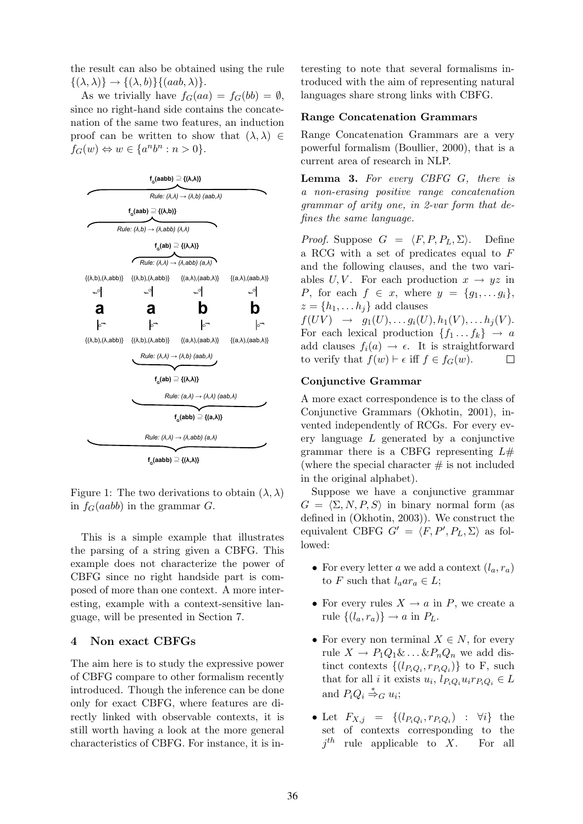the result can also be obtained using the rule  $\{(\lambda, \lambda)\}\rightarrow \{(\lambda, b)\}\{(aab, \lambda)\}.$ 

As we trivially have  $f_G(aa) = f_G(bb) = \emptyset$ , since no right-hand side contains the concatenation of the same two features, an induction proof can be written to show that  $(\lambda, \lambda) \in$  $f_G(w) \Leftrightarrow w \in \{a^n b^n : n > 0\}.$ 



Figure 1: The two derivations to obtain  $(\lambda, \lambda)$ in  $f_G(aabb)$  in the grammar G.

This is a simple example that illustrates the parsing of a string given a CBFG. This example does not characterize the power of CBFG since no right handside part is composed of more than one context. A more interesting, example with a context-sensitive language, will be presented in Section 7.

## 4 Non exact CBFGs

The aim here is to study the expressive power of CBFG compare to other formalism recently introduced. Though the inference can be done only for exact CBFG, where features are directly linked with observable contexts, it is still worth having a look at the more general characteristics of CBFG. For instance, it is interesting to note that several formalisms introduced with the aim of representing natural languages share strong links with CBFG.

#### Range Concatenation Grammars

Range Concatenation Grammars are a very powerful formalism (Boullier, 2000), that is a current area of research in NLP.

Lemma 3. For every CBFG G, there is a non-erasing positive range concatenation grammar of arity one, in 2-var form that defines the same language.

*Proof.* Suppose  $G = \langle F, P, P_L, \Sigma \rangle$ . Define a RCG with a set of predicates equal to F and the following clauses, and the two variables U, V. For each production  $x \to yz$  in P, for each  $f \in x$ , where  $y = \{g_1, \ldots g_i\},\$  $z = \{h_1, \ldots h_j\}$  add clauses  $f(UV) \rightarrow g_1(U), \ldots g_i(U), h_1(V), \ldots h_i(V).$ For each lexical production  $\{f_1 \dots f_k\} \rightarrow a$ add clauses  $f_i(a) \to \epsilon$ . It is straightforward

 $\Box$ 

#### Conjunctive Grammar

to verify that  $f(w) \vdash \epsilon$  iff  $f \in f_G(w)$ .

A more exact correspondence is to the class of Conjunctive Grammars (Okhotin, 2001), invented independently of RCGs. For every every language  $L$  generated by a conjunctive grammar there is a CBFG representing  $L#$ (where the special character  $\#$  is not included in the original alphabet).

Suppose we have a conjunctive grammar  $G = \langle \Sigma, N, P, S \rangle$  in binary normal form (as defined in (Okhotin, 2003)). We construct the equivalent CBFG  $G' = \langle F, P', P_L, \Sigma \rangle$  as followed:

- For every letter a we add a context  $(l_a, r_a)$ to F such that  $l_a a r_a \in L$ ;
- For every rules  $X \to a$  in P, we create a rule  $\{(l_a, r_a)\}\rightarrow a$  in  $P_L$ .
- For every non terminal  $X \in N$ , for every rule  $X \to P_1 Q_1 \& \dots \& P_n Q_n$  we add distinct contexts  $\{(l_{P_iQ_i}, r_{P_iQ_i})\}$  to F, such that for all *i* it exists  $u_i$ ,  $l_{P_iQ_i}u_i r_{P_iQ_i} \in L$ and  $P_i Q_i \stackrel{*}{\Rightarrow}_G u_i$ ;
- Let  $F_{X,j} = \{(l_{P_iQ_i}, r_{P_iQ_i}) : \forall i\}$  the set of contexts corresponding to the  $j<sup>th</sup>$  rule applicable to X. For all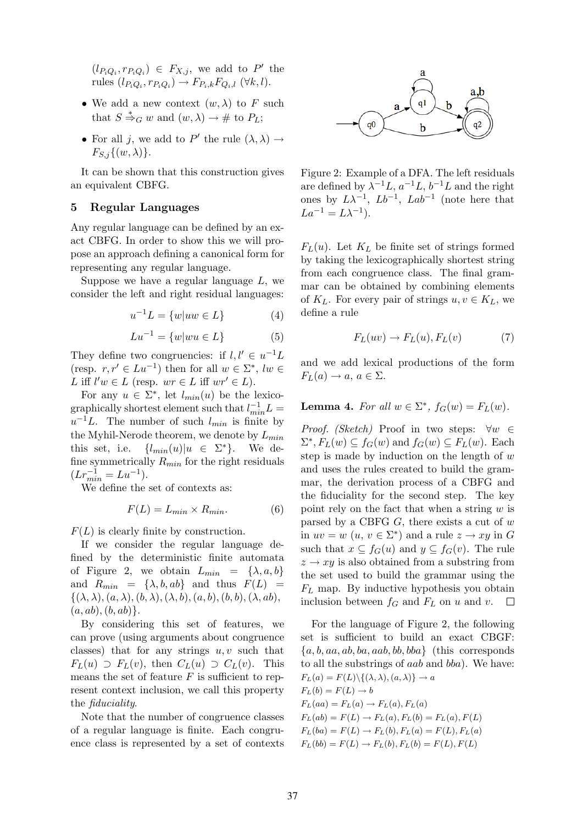$(l_{P_iQ_i}, r_{P_iQ_i}) \in F_{X,j}$ , we add to P' the rules  $(l_{P_iQ_i}, r_{P_iQ_i}) \rightarrow F_{P_i,k}F_{Q_i,l}$  ( $\forall k, l$ ).

- We add a new context  $(w, \lambda)$  to F such that  $S \stackrel{*}{\Rightarrow}_G w$  and  $(w, \lambda) \rightarrow #$  to  $P_L$ ;
- For all j, we add to P' the rule  $(\lambda, \lambda) \rightarrow$  $F_{S,j}\{(w,\lambda)\}.$

It can be shown that this construction gives an equivalent CBFG.

#### 5 Regular Languages

Any regular language can be defined by an exact CBFG. In order to show this we will propose an approach defining a canonical form for representing any regular language.

Suppose we have a regular language  $L$ , we consider the left and right residual languages:

$$
u^{-1}L = \{w|uw \in L\} \tag{4}
$$

$$
Lu^{-1} = \{w|wu \in L\} \tag{5}
$$

They define two congruencies: if  $l, l' \in u^{-1}L$ (resp.  $r, r' \in Lu^{-1}$ ) then for all  $w \in \Sigma^*$ ,  $lw \in$ L iff  $l'w \in L$  (resp.  $wr \in L$  iff  $wr' \in L$ ).

For any  $u \in \Sigma^*$ , let  $l_{min}(u)$  be the lexicographically shortest element such that  $l_{min}^{-1}L =$  $u^{-1}L$ . The number of such  $l_{min}$  is finite by the Myhil-Nerode theorem, we denote by  $L_{min}$ this set, i.e.  $\{l_{min}(u)|u \in \Sigma^*\}.$ <sup>∗</sup>}. We define symmetrically  $R_{min}$  for the right residuals  $(Lr_{min}^{-1} = Lu^{-1}).$ 

We define the set of contexts as:

$$
F(L) = L_{min} \times R_{min}.\tag{6}
$$

 $F(L)$  is clearly finite by construction.

If we consider the regular language defined by the deterministic finite automata of Figure 2, we obtain  $L_{min} = {\lambda, a, b}$ and  $R_{min} = {\lambda, b, ab}$  and thus  $F(L) =$  $\{(\lambda, \lambda), (a, \lambda), (b, \lambda), (\lambda, b), (a, b), (b, b), (\lambda, ab),\}$  $(a, ab), (b, ab)\}.$ 

By considering this set of features, we can prove (using arguments about congruence classes) that for any strings  $u, v$  such that  $F_L(u) \supset F_L(v)$ , then  $C_L(u) \supset C_L(v)$ . This means the set of feature  $F$  is sufficient to represent context inclusion, we call this property the fiduciality.

Note that the number of congruence classes of a regular language is finite. Each congruence class is represented by a set of contexts



Figure 2: Example of a DFA. The left residuals are defined by  $\lambda^{-1}L$ ,  $a^{-1}L$ ,  $b^{-1}L$  and the right ones by  $L\lambda^{-1}$ ,  $Lb^{-1}$ ,  $Lab^{-1}$  (note here that  $La^{-1} = L\lambda^{-1}$ .

 $F<sub>L</sub>(u)$ . Let  $K<sub>L</sub>$  be finite set of strings formed by taking the lexicographically shortest string from each congruence class. The final grammar can be obtained by combining elements of  $K_L$ . For every pair of strings  $u, v \in K_L$ , we define a rule

$$
F_L(uv) \to F_L(u), F_L(v) \tag{7}
$$

and we add lexical productions of the form  $F_L(a) \rightarrow a, a \in \Sigma.$ 

**Lemma 4.** For all  $w \in \Sigma^*$ ,  $f_G(w) = F_L(w)$ .

*Proof.* (Sketch) Proof in two steps:  $\forall w \in$  $\Sigma^*$ ,  $F_L(w) \subseteq f_G(w)$  and  $f_G(w) \subseteq F_L(w)$ . Each step is made by induction on the length of  $w$ and uses the rules created to build the grammar, the derivation process of a CBFG and the fiduciality for the second step. The key point rely on the fact that when a string  $w$  is parsed by a CBFG  $G$ , there exists a cut of  $w$ in  $uv = w$   $(u, v \in \Sigma^*)$  and a rule  $z \to xy$  in G such that  $x \subseteq f_G(u)$  and  $y \subseteq f_G(v)$ . The rule  $z \rightarrow xy$  is also obtained from a substring from the set used to build the grammar using the  $F_L$  map. By inductive hypothesis you obtain inclusion between  $f_G$  and  $F_L$  on u and v.  $\Box$ 

For the language of Figure 2, the following set is sufficient to build an exact CBGF:  ${a, b, aa, ab, ba, aab, bb, bba}$  (this corresponds to all the substrings of aab and bba). We have:  $F_L(a) = F(L) \setminus \{(\lambda, \lambda), (a, \lambda)\} \to a$  $F_L(b) = F(L) \rightarrow b$  $F_L(aa) = F_L(a) \rightarrow F_L(a), F_L(a)$  $F_L(ab) = F(L) \rightarrow F_L(a), F_L(b) = F_L(a), F(L)$  $F_L(ba) = F(L) \to F_L(b), F_L(a) = F(L), F_L(a)$  $F_L(bb) = F(L) \rightarrow F_L(b), F_L(b) = F(L), F(L)$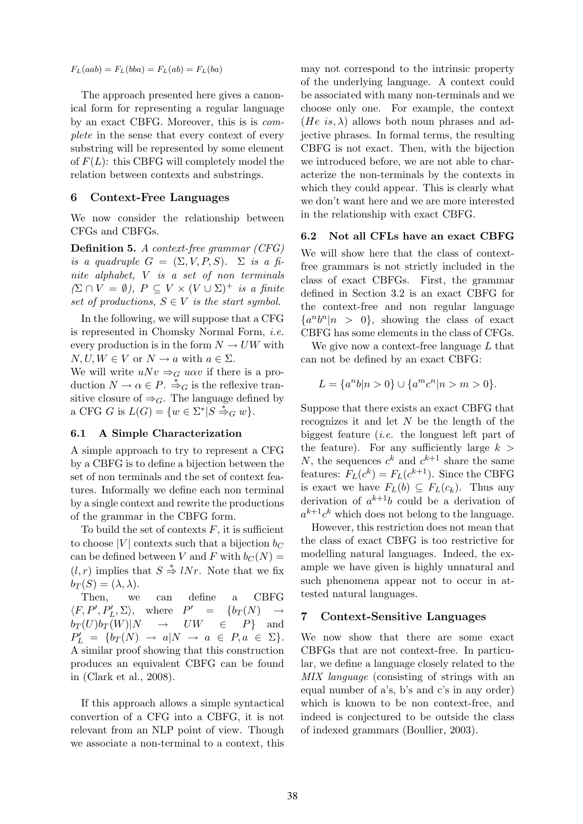$F_L(aab) = F_L(bba) = F_L(ab) = F_L(ba)$ 

The approach presented here gives a canonical form for representing a regular language by an exact CBFG. Moreover, this is is complete in the sense that every context of every substring will be represented by some element of  $F(L)$ : this CBFG will completely model the relation between contexts and substrings.

### 6 Context-Free Languages

We now consider the relationship between CFGs and CBFGs.

Definition 5. A context-free grammar (CFG) is a quadruple  $G = (\Sigma, V, P, S)$ .  $\Sigma$  is a finite alphabet, V is a set of non terminals  $(\Sigma \cap V = \emptyset)$ ,  $P \subseteq V \times (V \cup \Sigma)^{+}$  is a finite set of productions,  $S \in V$  is the start symbol.

In the following, we will suppose that a CFG is represented in Chomsky Normal Form, i.e. every production is in the form  $N \to UW$  with  $N, U, W \in V$  or  $N \to a$  with  $a \in \Sigma$ .

We will write  $uNv \Rightarrow_G u\alpha v$  if there is a production  $N \to \alpha \in P$ .  $\stackrel{*}{\Rightarrow}_G$  is the reflexive transitive closure of  $\Rightarrow_G$ . The language defined by a CFG G is  $L(G) = \{w \in \Sigma^* | S \stackrel{*}{\Rightarrow}_G w\}.$ 

## 6.1 A Simple Characterization

A simple approach to try to represent a CFG by a CBFG is to define a bijection between the set of non terminals and the set of context features. Informally we define each non terminal by a single context and rewrite the productions of the grammar in the CBFG form.

To build the set of contexts  $F$ , it is sufficient to choose |V| contexts such that a bijection  $b_C$ can be defined between V and F with  $b_C(N)$  =  $(l, r)$  implies that  $S \stackrel{*}{\Rightarrow} lNr$ . Note that we fix  $b_T(S) = (\lambda, \lambda).$ 

Then, we can define a CBFG  $\langle F, P', P'_L, \Sigma \rangle$ , where  $P$  $= \{b_T(N)\}$  $b_T(U)b_T(W)|N \to UW \in P\}$  and  $P'_L = \{b_T(N) \rightarrow a | N \rightarrow a \in P, a \in \Sigma\}.$ A similar proof showing that this construction produces an equivalent CBFG can be found in (Clark et al., 2008).

If this approach allows a simple syntactical convertion of a CFG into a CBFG, it is not relevant from an NLP point of view. Though we associate a non-terminal to a context, this

may not correspond to the intrinsic property of the underlying language. A context could be associated with many non-terminals and we choose only one. For example, the context (He is,  $\lambda$ ) allows both noun phrases and adjective phrases. In formal terms, the resulting CBFG is not exact. Then, with the bijection we introduced before, we are not able to characterize the non-terminals by the contexts in which they could appear. This is clearly what we don't want here and we are more interested in the relationship with exact CBFG.

## 6.2 Not all CFLs have an exact CBFG

We will show here that the class of contextfree grammars is not strictly included in the class of exact CBFGs. First, the grammar defined in Section 3.2 is an exact CBFG for the context-free and non regular language  $\{a^n b^n | n > 0\}$ , showing the class of exact CBFG has some elements in the class of CFGs.

We give now a context-free language  $L$  that can not be defined by an exact CBFG:

$$
L = \{a^n b | n > 0\} \cup \{a^m c^n | n > m > 0\}.
$$

Suppose that there exists an exact CBFG that recognizes it and let  $N$  be the length of the biggest feature (i.e. the longuest left part of the feature). For any sufficiently large  $k >$ N, the sequences  $c^k$  and  $c^{k+1}$  share the same features:  $F_L(c^k) = F_L(c^{k+1})$ . Since the CBFG is exact we have  $F_L(b) \subseteq F_L(c_k)$ . Thus any derivation of  $a^{k+1}b$  could be a derivation of  $a^{k+1}c^k$  which does not belong to the language.

However, this restriction does not mean that the class of exact CBFG is too restrictive for modelling natural languages. Indeed, the example we have given is highly unnatural and such phenomena appear not to occur in attested natural languages.

#### 7 Context-Sensitive Languages

We now show that there are some exact CBFGs that are not context-free. In particular, we define a language closely related to the MIX language (consisting of strings with an equal number of a's, b's and c's in any order) which is known to be non context-free, and indeed is conjectured to be outside the class of indexed grammars (Boullier, 2003).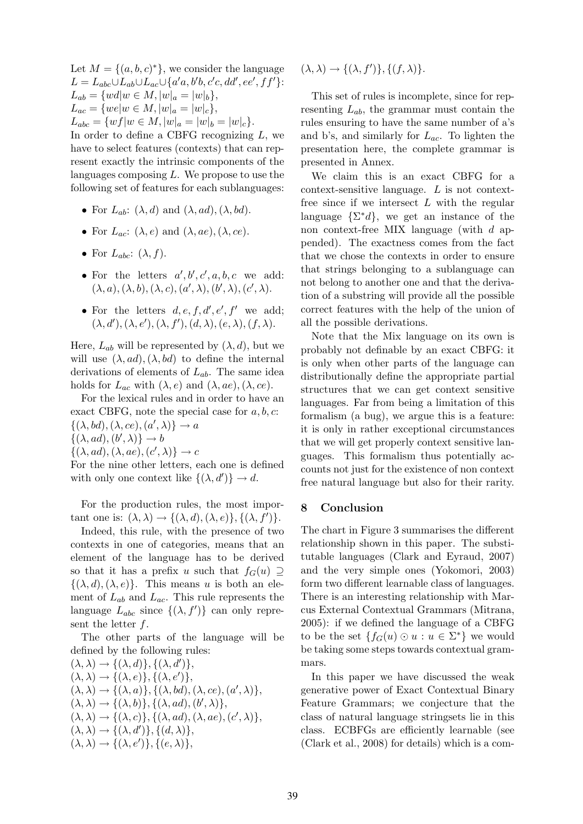Let  $M = \{(a, b, c)^*\}$ , we consider the language  $L = L_{abc} \cup L_{ab} \cup L_{ac} \cup \{a'a, b'b, c'c, dd', ee', ff'\}.$  $L_{ab} = \{wd | w \in M, |w|_a = |w|_b\},\$  $L_{ac} = \{we|w \in M, |w|_a = |w|_c\},\$  $L_{abc} = \{wf|w \in M, |w|_a = |w|_b = |w|_c\}.$ 

In order to define a CBFG recognizing  $L$ , we have to select features (contexts) that can represent exactly the intrinsic components of the languages composing  $L$ . We propose to use the following set of features for each sublanguages:

- For  $L_{ab}$ :  $(\lambda, d)$  and  $(\lambda, ad), (\lambda, bd)$ .
- For  $L_{ac}: (\lambda, e)$  and  $(\lambda, ae), (\lambda, ce)$ .
- For  $L_{abc}$ :  $(\lambda, f)$ .
- For the letters  $a', b', c', a, b, c$  we add:  $(\lambda, a), (\lambda, b), (\lambda, c), (a', \lambda), (b', \lambda), (c', \lambda).$
- For the letters  $d, e, f, d', e', f'$  we add;  $(\lambda, d'), (\lambda, e'), (\lambda, f'), (d, \lambda), (e, \lambda), (f, \lambda).$

Here,  $L_{ab}$  will be represented by  $(\lambda, d)$ , but we will use  $(\lambda, ad), (\lambda, bd)$  to define the internal derivations of elements of  $L_{ab}$ . The same idea holds for  $L_{ac}$  with  $(\lambda, e)$  and  $(\lambda, ae), (\lambda, ce)$ .

For the lexical rules and in order to have an exact CBFG, note the special case for  $a, b, c$ :  $\{(\lambda, bd), (\lambda, ce), (a', \lambda)\}\rightarrow a$ 

 $\{(\lambda, ad), (b', \lambda)\}\rightarrow b$ 

$$
\{(\lambda, ad), (\lambda, ae), (c', \lambda)\} \to c
$$

For the nine other letters, each one is defined with only one context like  $\{(\lambda, d')\} \to d$ .

For the production rules, the most important one is:  $(\lambda, \lambda) \rightarrow \{(\lambda, d), (\lambda, e)\}, \{(\lambda, f')\}.$ 

Indeed, this rule, with the presence of two contexts in one of categories, means that an element of the language has to be derived so that it has a prefix u such that  $f_G(u) \supseteq$  $\{(\lambda, d), (\lambda, e)\}.$  This means u is both an element of  $L_{ab}$  and  $L_{ac}$ . This rule represents the language  $L_{abc}$  since  $\{(\lambda, f')\}$  can only represent the letter  $f$ .

The other parts of the language will be defined by the following rules:

 $(\lambda, \lambda) \rightarrow \{(\lambda, d)\}, \{(\lambda, d')\},\$  $(\lambda, \lambda) \rightarrow \{(\lambda, e)\}, \{(\lambda, e')\},\$  $(\lambda, \lambda) \rightarrow \{(\lambda, a)\}, \{(\lambda, bd), (\lambda, ce), (a', \lambda)\},\$  $(\lambda, \lambda) \rightarrow \{(\lambda, b)\}, \{(\lambda, ad), (b', \lambda)\},\$  $(\lambda, \lambda) \rightarrow \{(\lambda, c)\}, \{(\lambda, ad), (\lambda, ae), (c', \lambda)\},\$  $(\lambda, \lambda) \rightarrow \{(\lambda, d')\}, \{(d, \lambda)\},\$  $(\lambda, \lambda) \rightarrow \{(\lambda, e')\}, \{(e, \lambda)\},\$ 

 $(\lambda, \lambda) \rightarrow \{(\lambda, f')\}, \{(f, \lambda)\}.$ 

This set of rules is incomplete, since for representing  $L_{ab}$ , the grammar must contain the rules ensuring to have the same number of a's and b's, and similarly for  $L_{ac}$ . To lighten the presentation here, the complete grammar is presented in Annex.

We claim this is an exact CBFG for a context-sensitive language. L is not contextfree since if we intersect  $L$  with the regular language  $\{\Sigma^* d\}$ , we get an instance of the non context-free MIX language (with d appended). The exactness comes from the fact that we chose the contexts in order to ensure that strings belonging to a sublanguage can not belong to another one and that the derivation of a substring will provide all the possible correct features with the help of the union of all the possible derivations.

Note that the Mix language on its own is probably not definable by an exact CBFG: it is only when other parts of the language can distributionally define the appropriate partial structures that we can get context sensitive languages. Far from being a limitation of this formalism (a bug), we argue this is a feature: it is only in rather exceptional circumstances that we will get properly context sensitive languages. This formalism thus potentially accounts not just for the existence of non context free natural language but also for their rarity.

## 8 Conclusion

The chart in Figure 3 summarises the different relationship shown in this paper. The substitutable languages (Clark and Eyraud, 2007) and the very simple ones (Yokomori, 2003) form two different learnable class of languages. There is an interesting relationship with Marcus External Contextual Grammars (Mitrana, 2005): if we defined the language of a CBFG to be the set  $\{f_G(u) \odot u : u \in \Sigma^*\}$  we would be taking some steps towards contextual grammars.

In this paper we have discussed the weak generative power of Exact Contextual Binary Feature Grammars; we conjecture that the class of natural language stringsets lie in this class. ECBFGs are efficiently learnable (see (Clark et al., 2008) for details) which is a com-